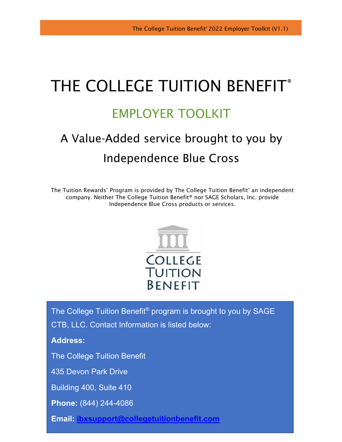# THE COLLEGE TUITION BENEFIT<sup>®</sup>

## EMPLOYER TOOLKIT

## A Value-Added service brought to you by Independence Blue Cross

The Tuition Rewards® Program is provided by The College Tuition Benefit® an independent company. Neither The College Tuition Benefit® nor SAGE Scholars, Inc. provide Independence Blue Cross products or services.



The College Tuition Benefit® program is brought to you by SAGE CTB, LLC. Contact Information is listed below:

**Address:**

The College Tuition Benefit

435 Devon Park Drive

Building 400, Suite 410

**Phone:** (844) 244-4086

**Email: [ibxsupport@collegetuitionbenefit.com](mailto:ibxsupport@collegetuitionbenefit.com)**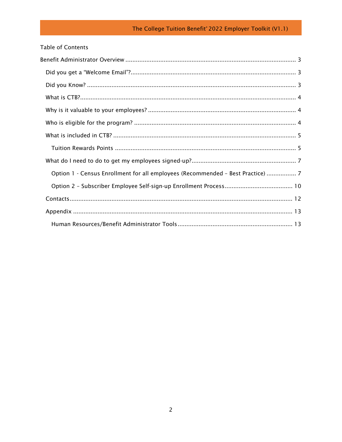| <b>Table of Contents</b>                                                        |  |
|---------------------------------------------------------------------------------|--|
|                                                                                 |  |
|                                                                                 |  |
|                                                                                 |  |
|                                                                                 |  |
|                                                                                 |  |
|                                                                                 |  |
|                                                                                 |  |
|                                                                                 |  |
|                                                                                 |  |
| Option 1 - Census Enrollment for all employees (Recommended - Best Practice)  7 |  |
|                                                                                 |  |
|                                                                                 |  |
|                                                                                 |  |
|                                                                                 |  |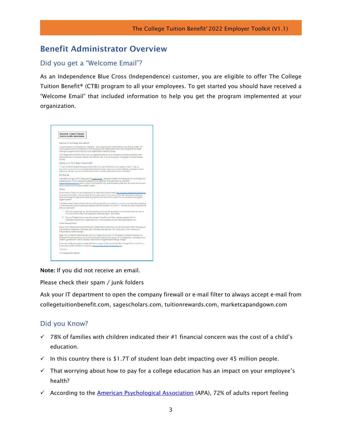## <span id="page-2-0"></span>Benefit Administrator Overview

#### <span id="page-2-1"></span>Did you get a "Welcome Email"?

As an Independence Blue Cross (Independence) customer, you are eligible to offer The College Tuition Benefit® (CTB) program to all your employees. To get started you should have received a "Welcome Email" that included information to help you get the program implemented at your organization.



Note: If you did not receive an email.

Please check their spam / junk folders

Ask your IT department to open the company firewall or e-mail filter to always accept e-mail from collegetuitionbenefit.com, sagescholars.com, tuitionrewards.com, marketcapandgown.com

#### <span id="page-2-2"></span>Did you Know?

- $\checkmark$  78% of families with children indicated their #1 financial concern was the cost of a child's education.
- $\checkmark$  In this country there is \$1.7T of student loan debt impacting over 45 million people.
- $\checkmark$  That worrying about how to pay for a college education has an impact on your employee's health?
- $\checkmark$  According to the [American Psychological Association](https://www.apa.org/news/press/releases/stress/2014/stress-report.pdf) (APA), 72% of adults report feeling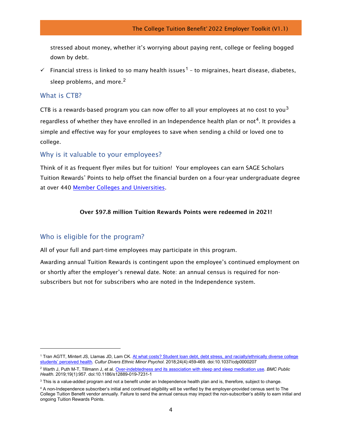stressed about money, whether it's worrying about paying rent, college or feeling bogged down by debt.

Financial stress is linked to so many health issues<sup>[1](#page-3-3)</sup> – to migraines, heart disease, diabetes, sleep problems, and more. $2$ 

#### <span id="page-3-0"></span>What is CTB?

CTB is a rewards-based program you can now offer to all your employees at no cost to you<sup>[3](#page-3-5)</sup> regardless of whether they have enrolled in an Independence health plan or not<sup>[4](#page-3-6)</sup>. It provides a simple and effective way for your employees to save when sending a child or loved one to college.

#### <span id="page-3-1"></span>Why is it valuable to your employees?

Think of it as frequent flyer miles but for tuition! Your employees can earn SAGE Scholars Tuition Rewards® Points to help offset the financial burden on a four-year undergraduate degree at over 440 [Member Colleges and Universities.](https://www.tuitionrewards.com/?p=home/college/list)

#### Over \$97.8 million Tuition Rewards Points were redeemed in 2021!

#### <span id="page-3-2"></span>Who is eligible for the program?

All of your full and part-time employees may participate in this program.

Awarding annual Tuition Rewards is contingent upon the employee's continued employment on or shortly after the employer's renewal date. Note: an annual census is required for nonsubscribers but not for subscribers who are noted in the Independence system.

<span id="page-3-3"></span><sup>1</sup> Tran AGTT, Mintert JS, Llamas JD, Lam CK. [At what costs? Student loan debt, debt stress, and racially/ethnically diverse college](https://doi.org/10.1037/cdp0000207)  [students' perceived health.](https://doi.org/10.1037/cdp0000207) *Cultur Divers Ethnic Minor Psychol*. 2018;24(4):459-469. doi:10.1037/cdp0000207

<span id="page-3-4"></span><sup>2</sup> Warth J, Puth M-T, Tillmann J, et al. [Over-indebtedness and its association with sleep and sleep medication use.](https://doi.org/10.1186/s12889-019-7231-1) *BMC Public Health*. 2019;19(1):957. doi:10.1186/s12889-019-7231-1

<span id="page-3-5"></span><sup>&</sup>lt;sup>3</sup> This is a value-added program and not a benefit under an Independence health plan and is, therefore, subject to change.

<span id="page-3-6"></span><sup>4</sup> A non-Independence subscriber's initial and continued eligibility will be verified by the employer-provided census sent to The College Tuition Benefit vendor annually. Failure to send the annual census may impact the non-subscriber's ability to earn initial and ongoing Tuition Rewards Points.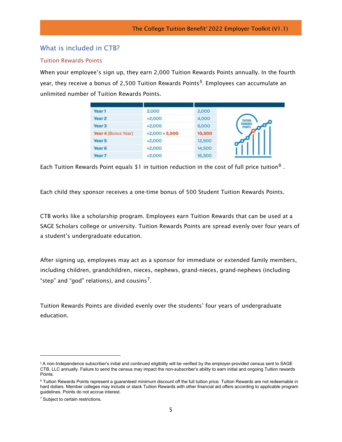#### <span id="page-4-0"></span>What is included in CTB?

#### <span id="page-4-1"></span>Tuition Rewards Points

When your employee's sign up, they earn 2,000 Tuition Rewards Points annually. In the fourth year, they receive a bonus of 2,[5](#page-4-2)00 Tuition Rewards Points<sup>5</sup>. Employees can accumulate an unlimited number of Tuition Rewards Points.

| Year <sub>1</sub>   | 2,000            | 2,000  |
|---------------------|------------------|--------|
| Year <sub>2</sub>   | $+2,000$         | 4,000  |
| Year <sub>3</sub>   | $+2,000$         | 6,000  |
| Year 4 (Bonus Year) | $+2,000 + 2,500$ | 10,500 |
| Year 5              | $+2,000$         | 12,500 |
| Year <sub>6</sub>   | $+2,000$         | 14,500 |
| Year <sub>7</sub>   | $+2,000$         | 16,500 |

Each Tuition Rewards Point equals \$1 in tuition reduction in the cost of full price tuition<sup>[6](#page-4-3)</sup>.

Each child they sponsor receives a one-time bonus of 500 Student Tuition Rewards Points.

CTB works like a scholarship program. Employees earn Tuition Rewards that can be used at a SAGE Scholars college or university. Tuition Rewards Points are spread evenly over four years of a student's undergraduate education.

After signing up, employees may act as a sponsor for immediate or extended family members, including children, grandchildren, nieces, nephews, grand-nieces, grand-nephews (including "step" and "god" relations), and cousins<sup>[7](#page-4-4)</sup>.

Tuition Rewards Points are divided evenly over the students' four years of undergraduate education.

<span id="page-4-2"></span><sup>5</sup> A non-Independence subscriber's initial and continued eligibility will be verified by the employer-provided census sent to SAGE CTB, LLC annually. Failure to send the census may impact the non-subscriber's ability to earn initial and ongoing Tuition rewards Points.

<span id="page-4-3"></span><sup>&</sup>lt;sup>6</sup> Tuition Rewards Points represent a quaranteed minimum discount off the full tuition price. Tuition Rewards are not redeemable in hard dollars. Member colleges may include or stack Tuition Rewards with other financial aid offers according to applicable program guidelines. Points do not accrue interest.

<span id="page-4-4"></span><sup>&</sup>lt;sup>7</sup> Subject to certain restrictions.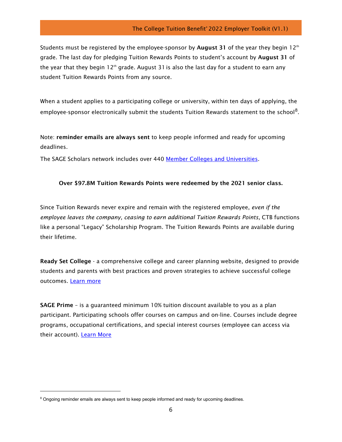Students must be registered by the employee-sponsor by **August 31** of the year they begin  $12<sup>th</sup>$ grade. The last day for pledging Tuition Rewards Points to student's account by August 31 of the year that they begin 12<sup>th</sup> grade. August 31 is also the last day for a student to earn any student Tuition Rewards Points from any source.

When a student applies to a participating college or university, within ten days of applying, the employee-sponsor electronically submit the students Tuition Rewards statement to the school<sup>[8](#page-5-0)</sup>.

Note: reminder emails are always sent to keep people informed and ready for upcoming deadlines.

The SAGE Scholars network includes over 440 [Member Colleges and Universities.](https://www.tuitionrewards.com/?p=home/college/list)

#### Over \$97.8M Tuition Rewards Points were redeemed by the 2021 senior class.

Since Tuition Rewards never expire and remain with the registered employee, *even if the employee leaves the company, ceasing to earn additional Tuition Rewards Points, CTB functions* like a personal "Legacy" Scholarship Program. The Tuition Rewards Points are available during their lifetime.

Ready Set College - a comprehensive college and career planning website, designed to provide students and parents with best practices and proven strategies to achieve successful college outcomes. [Learn more](https://readysetcollege.org/)

SAGE Prime – is a guaranteed minimum 10% tuition discount available to you as a plan participant. Participating schools offer courses on campus and on-line. Courses include degree programs, occupational certifications, and special interest courses (employee can access via their account). [Learn More](https://www.tuitionrewards.com/?p=home/benefits/prime)

<span id="page-5-0"></span><sup>&</sup>lt;sup>8</sup> Ongoing reminder emails are always sent to keep people informed and ready for upcoming deadlines.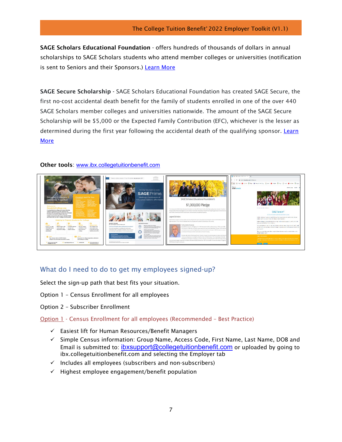SAGE Scholars Educational Foundation - offers hundreds of thousands of dollars in annual scholarships to SAGE Scholars students who attend member colleges or universities (notification is sent to Seniors and their Sponsors.) [Learn](https://www.tuitionrewards.com/?p=home/foundation/home) More

SAGE Secure Scholarship - SAGE Scholars Educational Foundation has created SAGE Secure, the first no-cost accidental death benefit for the family of students enrolled in one of the over 440 SAGE Scholars member colleges and universities nationwide. The amount of the SAGE Secure Scholarship will be \$5,000 or the Expected Family Contribution (EFC), whichever is the lesser as determined during the first year following the accidental death of the qualifying sponsor. Learn [More](https://www.tuitionrewards.com/?p=home/foundation/secure)

#### Other tools: [www.ibx.collegetuitionbenefit.com](http://www.ibx.collegetuitionbenefit.com/)



#### <span id="page-6-0"></span>What do I need to do to get my employees signed-up?

Select the sign-up path that best fits your situation.

- Option 1 Census Enrollment for all employees
- Option 2 Subscriber Enrollment
- <span id="page-6-1"></span>Option 1 - Census Enrollment for all employees (Recommended – Best Practice)
	- $\checkmark$  Easiest lift for Human Resources/Benefit Managers
	- $\checkmark$  Simple Census information: Group Name, Access Code, First Name, Last Name, DOB and Email is submitted to: [ibxsupport@collegetuitionbenefit.com](mailto:ibxsupport@collegetuitionbenefit.com) or uploaded by going to ibx.collegetuitionbenefit.com and selecting the Employer tab
	- $\checkmark$  Includes all employees (subscribers and non-subscribers)
	- $\checkmark$  Highest employee engagement/benefit population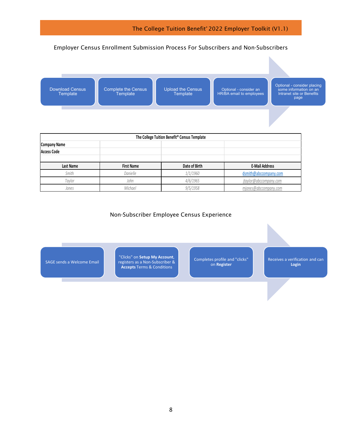#### Employer Census Enrollment Submission Process For Subscribers and Non-Subscribers



| The College Tuition Benefit® Census Template |                   |               |                        |  |  |  |
|----------------------------------------------|-------------------|---------------|------------------------|--|--|--|
| Company Name                                 |                   |               |                        |  |  |  |
| <b>Access Code</b>                           |                   |               |                        |  |  |  |
|                                              |                   |               |                        |  |  |  |
| Last Name                                    | <b>First Name</b> | Date of Birth | <b>E-Mail Address</b>  |  |  |  |
| Smith                                        | Danielle          | 1/1/1960      | dsmith@abccompany.com  |  |  |  |
| Tavlor                                       | John              | 4/6/1965      | jtaylor@abccompany.com |  |  |  |
| Jones                                        | Michael           | 9/5/1958      | mjones@abccompany.com  |  |  |  |

#### Non-Subscriber Employee Census Experience

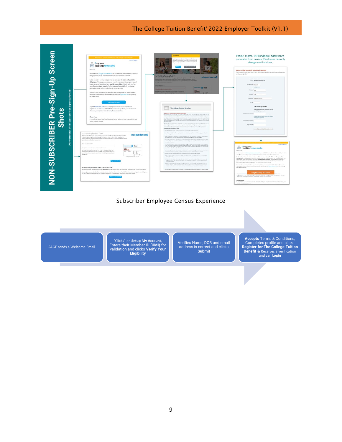

#### Subscriber Employee Census Experience

SAGE sends a Welcome Email

"Clicks" on **Setup My Account**, Enters their Member ID (**UMI)** for validation and clicks **Verify Your Eligibility**

Verifies Name, DOB and email address is correct and clicks **Submit**

**Accepts** Terms & Conditions, Completes profile and clicks **Register for The College Tuition Benefit &** Receives a verification and can **Login**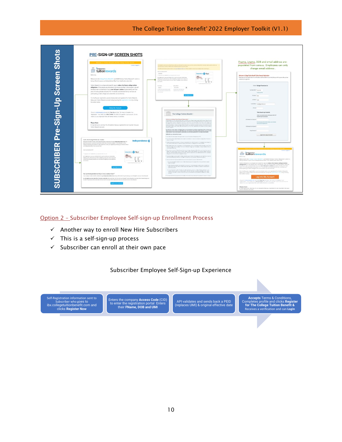

#### <span id="page-9-0"></span>Option 2 – Subscriber Employee Self-sign-up Enrollment Process

- $\checkmark$  Another way to enroll New Hire Subscribers
- $\checkmark$  This is a self-sign-up process
- $\checkmark$  Subscriber can enroll at their own pace

#### Subscriber Employee Self-Sign-up Experience

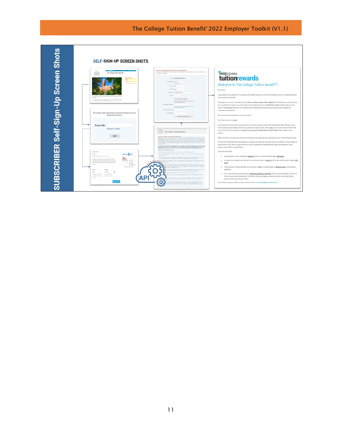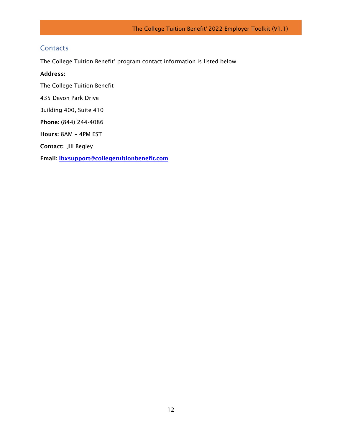### <span id="page-11-0"></span>**Contacts**

The College Tuition Benefit® program contact information is listed below:

#### Address:

The College Tuition Benefit

435 Devon Park Drive

Building 400, Suite 410

Phone: (844) 244-4086

Hours: 8AM – 4PM EST

Contact: Jill Begley

Email: [ibxsupport@collegetuitionbenefit.com](mailto:ibxsupport@collegetuitionbenefit.com)